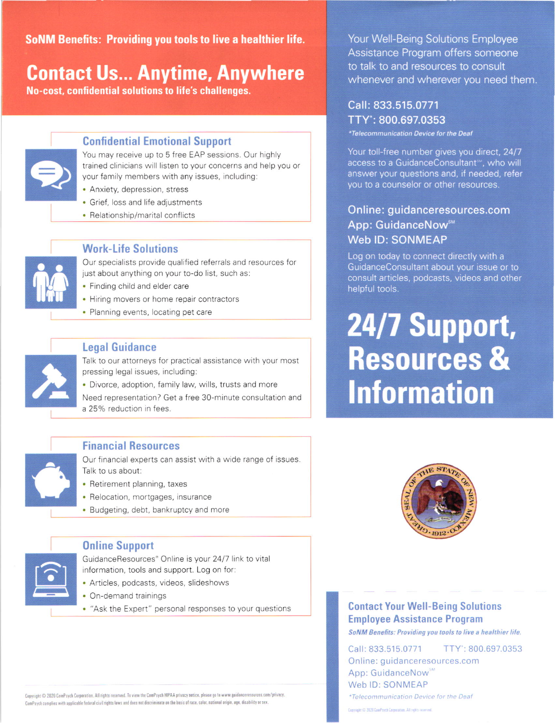SoNM Benefits: Providing you tools t0 live a healthier life.

### **Contact Us... Anytime, Anywhere** and the network of talk to and resources to consult them.

No-cost, confidential solutions to life's challenges.



### Confidential Emotional Support

You may receive up to 5 free EAP sessions. Our highly trained clinicians will listen to your concerns and help you or your family members with any issues, including:

- . Anxiety, depression, stress
- Grief, loss and life adjustments
- . Relationship/marital conflicts



#### **Work-Life Solutions**

Our specialists provide qualified referrals and resources for just about anything on your to-do list, such as:

- . Finding child and elder care
- . Hiring movers or home repair contractors
- . Planning events, locating pet care



#### Legal Guidance

Talk to our attorneys for practical assistance with your most pressing legal issues, including:

. Divorce, adoption, family law, wills, trusts and more

Need representation? Get a free 30-minute consultation and a 25% reduction in fees.



### Financial Resources

Our financial experts can assist with a wide range of issues. Talk to us about:

- Retirement planning, taxes
- Relocation, mortgages, insurance
- . Budgeting. debt, bankruptcy and more



### 0nline Support

GuidanceResources'Online is your 2417 link to vital information, tools and support. Log on for:

- . Articles, podcasts, videos, slideshows
- . On-demand trainings
- . "Ask the Expert" personal responses to your questions **Contact Your Well-Being Solutions**

Your Well-Being Solutions Employee Assistance Program offers someone

### Call: 833.515.0771 TTY': 800.697.0353

'Telecommunication Device fot the Deaf

Your toll-free number gives you direct, 24/7 access to a GuidanceConsultant<sup>®</sup>, who will answer your questions and, if needed, refer you to a counselor or other resources.

### Online: guidanceresources.com App: GuidanceNow<sup>™</sup> Web lD: SONMEAP

Log on today to connect directly with a GuidanceConsultant about your issue or to consult articles, podcasts, videos and other helpful tools.

# 24/7 Support, Resources & lnformation



## Employee Assistance Program

SoNM Benefits: Providing you tools to live a healthier life.

Call:833.515.0771 TTY':800.697.0353 Online: quidanceresources.com App: GuidanceNow<sup>sM</sup> Web ID: SONMEAP

Copyright © 2020 CemPsych Corporation. All rights reserved. To view the ComPsych HIPAA privacy natice, please go to www.guidanceresources.com/privacy. \*Telecommunication Device for the Deaf ComPsych complies with applicable federal civil rights laws and does not discriminate on the basis of race, color, national origin, age, disability or sex.